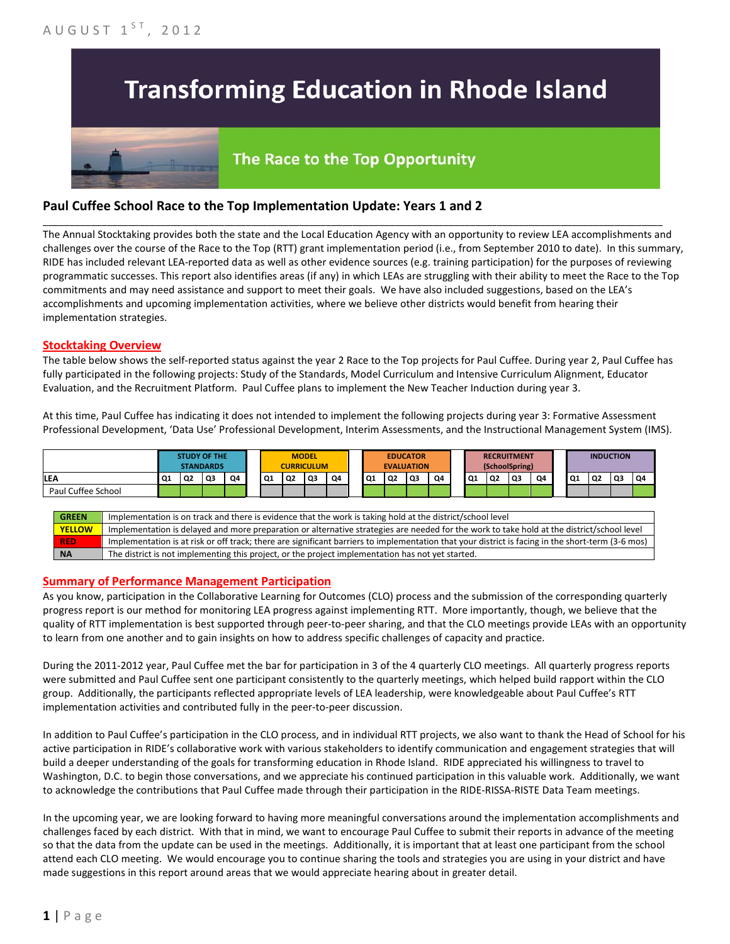# **Transforming Education in Rhode Island**

# The Race to the Top Opportunity

\_\_\_\_\_\_\_\_\_\_\_\_\_\_\_\_\_\_\_\_\_\_\_\_\_\_\_\_\_\_\_\_\_\_\_\_\_\_\_\_\_\_\_\_\_\_\_\_\_\_\_\_\_\_\_\_\_\_\_\_\_\_\_\_\_\_\_\_\_\_\_\_\_\_\_\_\_\_\_\_\_\_\_\_\_\_\_\_\_\_\_\_\_\_\_\_\_\_\_\_\_\_\_\_\_\_\_\_\_\_\_\_\_\_\_\_

## **Paul Cuffee School Race to the Top Implementation Update: Years 1 and 2**

The Annual Stocktaking provides both the state and the Local Education Agency with an opportunity to review LEA accomplishments and challenges over the course of the Race to the Top (RTT) grant implementation period (i.e., from September 2010 to date). In this summary, RIDE has included relevant LEA-reported data as well as other evidence sources (e.g. training participation) for the purposes of reviewing programmatic successes. This report also identifies areas (if any) in which LEAs are struggling with their ability to meet the Race to the Top commitments and may need assistance and support to meet their goals. We have also included suggestions, based on the LEA's accomplishments and upcoming implementation activities, where we believe other districts would benefit from hearing their implementation strategies.

#### **Stocktaking Overview**

The table below shows the self-reported status against the year 2 Race to the Top projects for Paul Cuffee. During year 2, Paul Cuffee has fully participated in the following projects: Study of the Standards, Model Curriculum and Intensive Curriculum Alignment, Educator Evaluation, and the Recruitment Platform. Paul Cuffee plans to implement the New Teacher Induction during year 3.

At this time, Paul Cuffee has indicating it does not intended to implement the following projects during year 3: Formative Assessment Professional Development, 'Data Use' Professional Development, Interim Assessments, and the Instructional Management System (IMS).

|                    |           |    | <b>STUDY OF THE</b><br><b>STANDARDS</b> |                |  | <b>MODEL</b><br><b>CURRICULUM</b> |                |                |    | <b>EDUCATOR</b><br><b>EVALUATION</b> |           |    | <b>RECRUITMENT</b><br>(SchoolSpring) |           |                | <b>INDUCTION</b> |    |    |                |                |    |
|--------------------|-----------|----|-----------------------------------------|----------------|--|-----------------------------------|----------------|----------------|----|--------------------------------------|-----------|----|--------------------------------------|-----------|----------------|------------------|----|----|----------------|----------------|----|
| <b>LEA</b>         | <b>Q1</b> | Q2 | Q3                                      | O <sub>4</sub> |  | Q1                                | Q <sub>2</sub> | Q <sub>3</sub> | Q4 | Q1                                   | <b>Q2</b> | Q3 | Q4                                   | <b>Q1</b> | Q <sub>2</sub> | Q <sub>3</sub>   | Q4 | Q1 | Q <sub>2</sub> | Q <sub>3</sub> | Q4 |
| Paul Cuffee School |           |    |                                         |                |  |                                   |                |                |    |                                      |           |    |                                      |           |                |                  |    |    |                |                |    |
|                    |           |    |                                         |                |  |                                   |                |                |    |                                      |           |    |                                      |           |                |                  |    |    |                |                |    |

| <b>GREEN</b>  | Implementation is on track and there is evidence that the work is taking hold at the district/school level                                        |
|---------------|---------------------------------------------------------------------------------------------------------------------------------------------------|
| <b>YELLOW</b> | Implementation is delayed and more preparation or alternative strategies are needed for the work to take hold at the district/school level        |
| <b>RED</b>    | Implementation is at risk or off track; there are significant barriers to implementation that your district is facing in the short-term (3-6 mos) |
| <b>NA</b>     | The district is not implementing this project, or the project implementation has not yet started.                                                 |

#### **Summary of Performance Management Participation**

As you know, participation in the Collaborative Learning for Outcomes (CLO) process and the submission of the corresponding quarterly progress report is our method for monitoring LEA progress against implementing RTT. More importantly, though, we believe that the quality of RTT implementation is best supported through peer-to-peer sharing, and that the CLO meetings provide LEAs with an opportunity to learn from one another and to gain insights on how to address specific challenges of capacity and practice.

During the 2011-2012 year, Paul Cuffee met the bar for participation in 3 of the 4 quarterly CLO meetings. All quarterly progress reports were submitted and Paul Cuffee sent one participant consistently to the quarterly meetings, which helped build rapport within the CLO group. Additionally, the participants reflected appropriate levels of LEA leadership, were knowledgeable about Paul Cuffee's RTT implementation activities and contributed fully in the peer-to-peer discussion.

In addition to Paul Cuffee's participation in the CLO process, and in individual RTT projects, we also want to thank the Head of School for his active participation in RIDE's collaborative work with various stakeholders to identify communication and engagement strategies that will build a deeper understanding of the goals for transforming education in Rhode Island. RIDE appreciated his willingness to travel to Washington, D.C. to begin those conversations, and we appreciate his continued participation in this valuable work. Additionally, we want to acknowledge the contributions that Paul Cuffee made through their participation in the RIDE-RISSA-RISTE Data Team meetings.

In the upcoming year, we are looking forward to having more meaningful conversations around the implementation accomplishments and challenges faced by each district. With that in mind, we want to encourage Paul Cuffee to submit their reports in advance of the meeting so that the data from the update can be used in the meetings. Additionally, it is important that at least one participant from the school attend each CLO meeting. We would encourage you to continue sharing the tools and strategies you are using in your district and have made suggestions in this report around areas that we would appreciate hearing about in greater detail.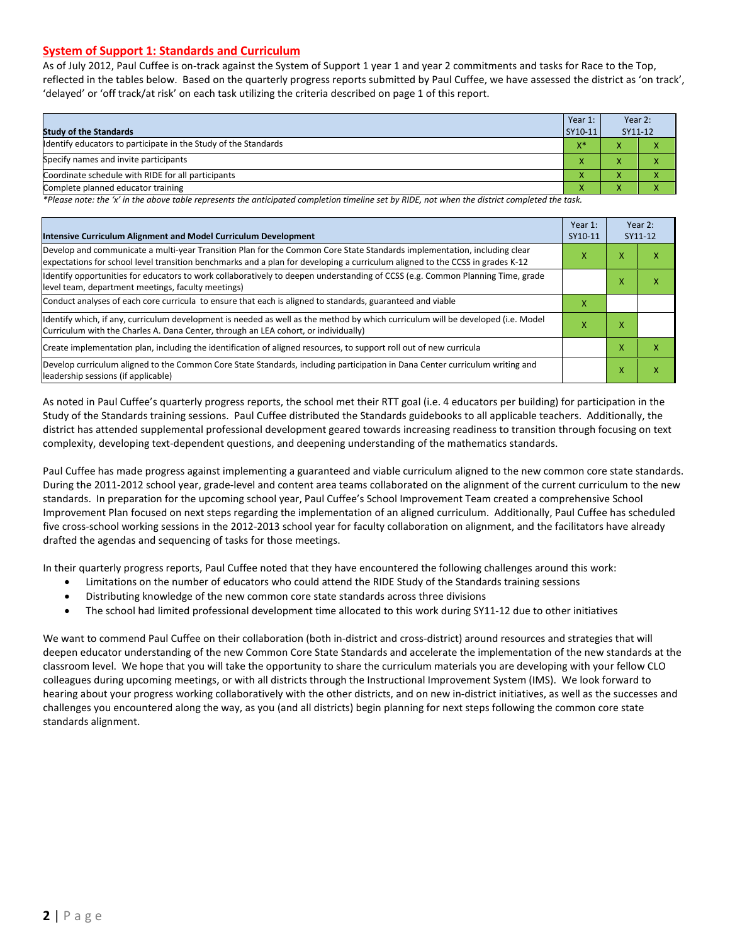#### **System of Support 1: Standards and Curriculum**

As of July 2012, Paul Cuffee is on-track against the System of Support 1 year 1 and year 2 commitments and tasks for Race to the Top, reflected in the tables below. Based on the quarterly progress reports submitted by Paul Cuffee, we have assessed the district as 'on track', 'delayed' or 'off track/at risk' on each task utilizing the criteria described on page 1 of this report.

| Year 1:<br><b>Study of the Standards</b><br>SY10-11             |                    |   | Year 2:<br>SY11-12 |
|-----------------------------------------------------------------|--------------------|---|--------------------|
| Identify educators to participate in the Study of the Standards | $X^*$              |   |                    |
| Specify names and invite participants                           | $\mathbf{v}$       |   |                    |
| Coordinate schedule with RIDE for all participants              | $\mathbf{\Lambda}$ | ^ | $\sqrt{ }$         |
| Complete planned educator training                              | $\mathbf{\Lambda}$ |   |                    |

*\*Please note: the 'x' in the above table represents the anticipated completion timeline set by RIDE, not when the district completed the task.*

| Intensive Curriculum Alignment and Model Curriculum Development                                                                                                                                                                                           | Year 1:<br>SY10-11 |   | Year 2:<br>SY11-12 |
|-----------------------------------------------------------------------------------------------------------------------------------------------------------------------------------------------------------------------------------------------------------|--------------------|---|--------------------|
| Develop and communicate a multi-year Transition Plan for the Common Core State Standards implementation, including clear<br>expectations for school level transition benchmarks and a plan for developing a curriculum aligned to the CCSS in grades K-12 | x                  | x | ⋏                  |
| Identify opportunities for educators to work collaboratively to deepen understanding of CCSS (e.g. Common Planning Time, grade<br>level team, department meetings, faculty meetings)                                                                      |                    | x | x                  |
| Conduct analyses of each core curricula to ensure that each is aligned to standards, guaranteed and viable                                                                                                                                                | x                  |   |                    |
| ldentify which, if any, curriculum development is needed as well as the method by which curriculum will be developed (i.e. Model<br>Curriculum with the Charles A. Dana Center, through an LEA cohort, or individually)                                   |                    | X |                    |
| Create implementation plan, including the identification of aligned resources, to support roll out of new curricula                                                                                                                                       |                    | X | x                  |
| Develop curriculum aligned to the Common Core State Standards, including participation in Dana Center curriculum writing and<br>leadership sessions (if applicable)                                                                                       |                    | X | x                  |

As noted in Paul Cuffee's quarterly progress reports, the school met their RTT goal (i.e. 4 educators per building) for participation in the Study of the Standards training sessions. Paul Cuffee distributed the Standards guidebooks to all applicable teachers. Additionally, the district has attended supplemental professional development geared towards increasing readiness to transition through focusing on text complexity, developing text-dependent questions, and deepening understanding of the mathematics standards.

Paul Cuffee has made progress against implementing a guaranteed and viable curriculum aligned to the new common core state standards. During the 2011-2012 school year, grade-level and content area teams collaborated on the alignment of the current curriculum to the new standards. In preparation for the upcoming school year, Paul Cuffee's School Improvement Team created a comprehensive School Improvement Plan focused on next steps regarding the implementation of an aligned curriculum. Additionally, Paul Cuffee has scheduled five cross-school working sessions in the 2012-2013 school year for faculty collaboration on alignment, and the facilitators have already drafted the agendas and sequencing of tasks for those meetings.

In their quarterly progress reports, Paul Cuffee noted that they have encountered the following challenges around this work:

- Limitations on the number of educators who could attend the RIDE Study of the Standards training sessions
- Distributing knowledge of the new common core state standards across three divisions
- The school had limited professional development time allocated to this work during SY11-12 due to other initiatives

We want to commend Paul Cuffee on their collaboration (both in-district and cross-district) around resources and strategies that will deepen educator understanding of the new Common Core State Standards and accelerate the implementation of the new standards at the classroom level. We hope that you will take the opportunity to share the curriculum materials you are developing with your fellow CLO colleagues during upcoming meetings, or with all districts through the Instructional Improvement System (IMS). We look forward to hearing about your progress working collaboratively with the other districts, and on new in-district initiatives, as well as the successes and challenges you encountered along the way, as you (and all districts) begin planning for next steps following the common core state standards alignment.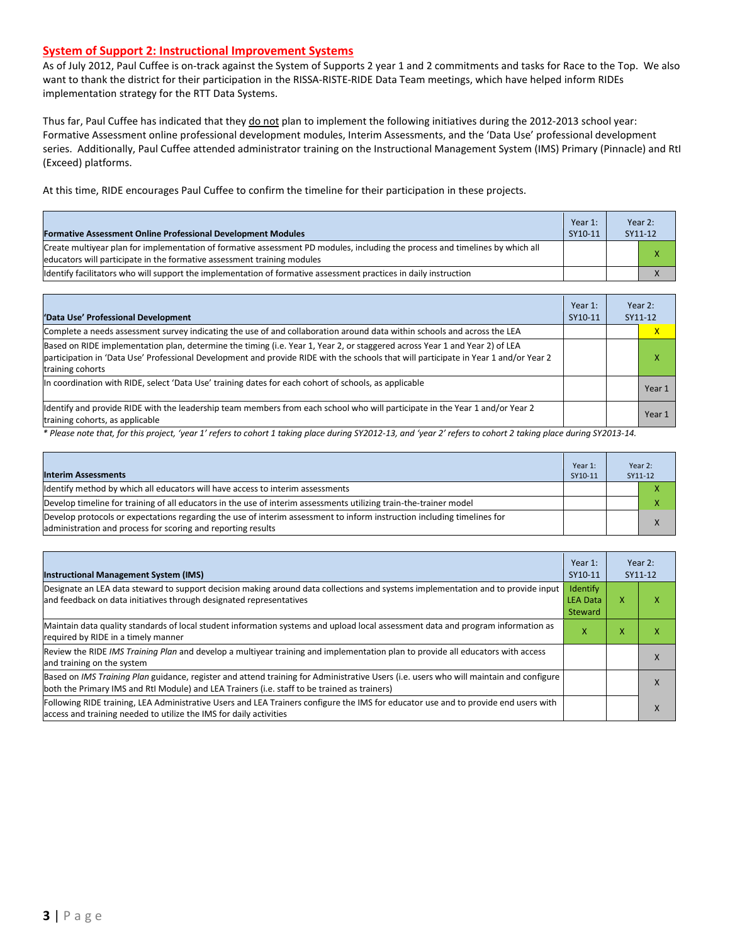#### **System of Support 2: Instructional Improvement Systems**

As of July 2012, Paul Cuffee is on-track against the System of Supports 2 year 1 and 2 commitments and tasks for Race to the Top. We also want to thank the district for their participation in the RISSA-RISTE-RIDE Data Team meetings, which have helped inform RIDEs implementation strategy for the RTT Data Systems.

Thus far, Paul Cuffee has indicated that they do not plan to implement the following initiatives during the 2012-2013 school year: Formative Assessment online professional development modules, Interim Assessments, and the 'Data Use' professional development series. Additionally, Paul Cuffee attended administrator training on the Instructional Management System (IMS) Primary (Pinnacle) and RtI (Exceed) platforms.

At this time, RIDE encourages Paul Cuffee to confirm the timeline for their participation in these projects.

| Formative Assessment Online Professional Development Modules                                                                                                                                             | Year 1:<br>SY10-11 | Year $2$ :<br>SY11-12 |  |
|----------------------------------------------------------------------------------------------------------------------------------------------------------------------------------------------------------|--------------------|-----------------------|--|
| Create multivear plan for implementation of formative assessment PD modules, including the process and timelines by which all<br>educators will participate in the formative assessment training modules |                    |                       |  |
| Identify facilitators who will support the implementation of formative assessment practices in daily instruction                                                                                         |                    |                       |  |

| 'Data Use' Professional Development                                                                                                                                                                                                                                                     | Year 1:<br>SY10-11 | Year 2:<br>SY11-12      |
|-----------------------------------------------------------------------------------------------------------------------------------------------------------------------------------------------------------------------------------------------------------------------------------------|--------------------|-------------------------|
| Complete a needs assessment survey indicating the use of and collaboration around data within schools and across the LEA                                                                                                                                                                |                    | $\overline{\mathsf{x}}$ |
| Based on RIDE implementation plan, determine the timing (i.e. Year 1, Year 2, or staggered across Year 1 and Year 2) of LEA<br>participation in 'Data Use' Professional Development and provide RIDE with the schools that will participate in Year 1 and/or Year 2<br>training cohorts |                    |                         |
| In coordination with RIDE, select 'Data Use' training dates for each cohort of schools, as applicable                                                                                                                                                                                   |                    | Year 1                  |
| Identify and provide RIDE with the leadership team members from each school who will participate in the Year 1 and/or Year 2<br>training cohorts, as applicable                                                                                                                         |                    | Year 1                  |

*\* Please note that, for this project, 'year 1' refers to cohort 1 taking place during SY2012-13, and 'year 2' refers to cohort 2 taking place during SY2013-14.*

| <b>Interim Assessments</b>                                                                                                                                                              | Year $1$ :<br>SY10-11 | Year 2:<br>SY11-12 |
|-----------------------------------------------------------------------------------------------------------------------------------------------------------------------------------------|-----------------------|--------------------|
| Identify method by which all educators will have access to interim assessments                                                                                                          |                       |                    |
| Develop timeline for training of all educators in the use of interim assessments utilizing train-the-trainer model                                                                      |                       |                    |
| Develop protocols or expectations regarding the use of interim assessment to inform instruction including timelines for<br>administration and process for scoring and reporting results |                       | $\mathbf v$        |

| <b>Instructional Management System (IMS)</b>                                                                                                                                                                                           | Year 1:<br>SY10-11                     |                   | Year $2:$<br>SY11-12 |
|----------------------------------------------------------------------------------------------------------------------------------------------------------------------------------------------------------------------------------------|----------------------------------------|-------------------|----------------------|
| Designate an LEA data steward to support decision making around data collections and systems implementation and to provide input<br>and feedback on data initiatives through designated representatives                                | Identify<br><b>LEA Data</b><br>Steward | X                 | x                    |
| Maintain data quality standards of local student information systems and upload local assessment data and program information as<br>required by RIDE in a timely manner                                                                | x                                      | $\checkmark$<br>× | x                    |
| Review the RIDE IMS Training Plan and develop a multiyear training and implementation plan to provide all educators with access<br>and training on the system                                                                          |                                        |                   | X                    |
| Based on IMS Training Plan guidance, register and attend training for Administrative Users (i.e. users who will maintain and configure<br>both the Primary IMS and RtI Module) and LEA Trainers (i.e. staff to be trained as trainers) |                                        |                   | X                    |
| Following RIDE training, LEA Administrative Users and LEA Trainers configure the IMS for educator use and to provide end users with<br>access and training needed to utilize the IMS for daily activities                              |                                        |                   | x                    |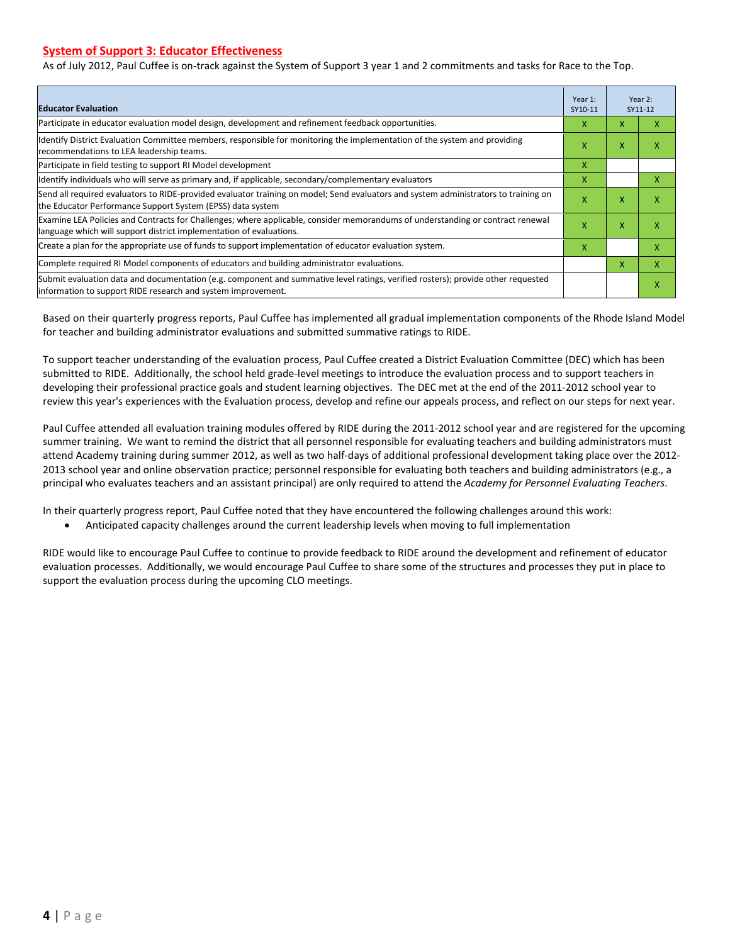#### **System of Support 3: Educator Effectiveness**

As of July 2012, Paul Cuffee is on-track against the System of Support 3 year 1 and 2 commitments and tasks for Race to the Top.

| <b>Educator Evaluation</b>                                                                                                                                                                            | Year 1:<br>SY10-11 |   | Year 2:<br>SY11-12 |
|-------------------------------------------------------------------------------------------------------------------------------------------------------------------------------------------------------|--------------------|---|--------------------|
| Participate in educator evaluation model design, development and refinement feedback opportunities.                                                                                                   |                    | X | x                  |
| Identify District Evaluation Committee members, responsible for monitoring the implementation of the system and providing<br>recommendations to LEA leadership teams.                                 | X                  | X | χ                  |
| Participate in field testing to support RI Model development                                                                                                                                          | x                  |   |                    |
| ldentify individuals who will serve as primary and, if applicable, secondary/complementary evaluators                                                                                                 |                    |   | x                  |
| Send all required evaluators to RIDE-provided evaluator training on model; Send evaluators and system administrators to training on<br>the Educator Performance Support System (EPSS) data system     | X                  | X | x                  |
| Examine LEA Policies and Contracts for Challenges; where applicable, consider memorandums of understanding or contract renewal<br>language which will support district implementation of evaluations. | X                  | X | χ                  |
| Create a plan for the appropriate use of funds to support implementation of educator evaluation system.                                                                                               | x                  |   | x                  |
| Complete required RI Model components of educators and building administrator evaluations.                                                                                                            |                    | x | x                  |
| Submit evaluation data and documentation (e.g. component and summative level ratings, verified rosters); provide other requested<br>information to support RIDE research and system improvement.      |                    |   | χ                  |

Based on their quarterly progress reports, Paul Cuffee has implemented all gradual implementation components of the Rhode Island Model for teacher and building administrator evaluations and submitted summative ratings to RIDE.

To support teacher understanding of the evaluation process, Paul Cuffee created a District Evaluation Committee (DEC) which has been submitted to RIDE. Additionally, the school held grade-level meetings to introduce the evaluation process and to support teachers in developing their professional practice goals and student learning objectives. The DEC met at the end of the 2011-2012 school year to review this year's experiences with the Evaluation process, develop and refine our appeals process, and reflect on our steps for next year.

Paul Cuffee attended all evaluation training modules offered by RIDE during the 2011-2012 school year and are registered for the upcoming summer training. We want to remind the district that all personnel responsible for evaluating teachers and building administrators must attend Academy training during summer 2012, as well as two half-days of additional professional development taking place over the 2012- 2013 school year and online observation practice; personnel responsible for evaluating both teachers and building administrators (e.g., a principal who evaluates teachers and an assistant principal) are only required to attend the *Academy for Personnel Evaluating Teachers*.

In their quarterly progress report, Paul Cuffee noted that they have encountered the following challenges around this work:

• Anticipated capacity challenges around the current leadership levels when moving to full implementation

RIDE would like to encourage Paul Cuffee to continue to provide feedback to RIDE around the development and refinement of educator evaluation processes. Additionally, we would encourage Paul Cuffee to share some of the structures and processes they put in place to support the evaluation process during the upcoming CLO meetings.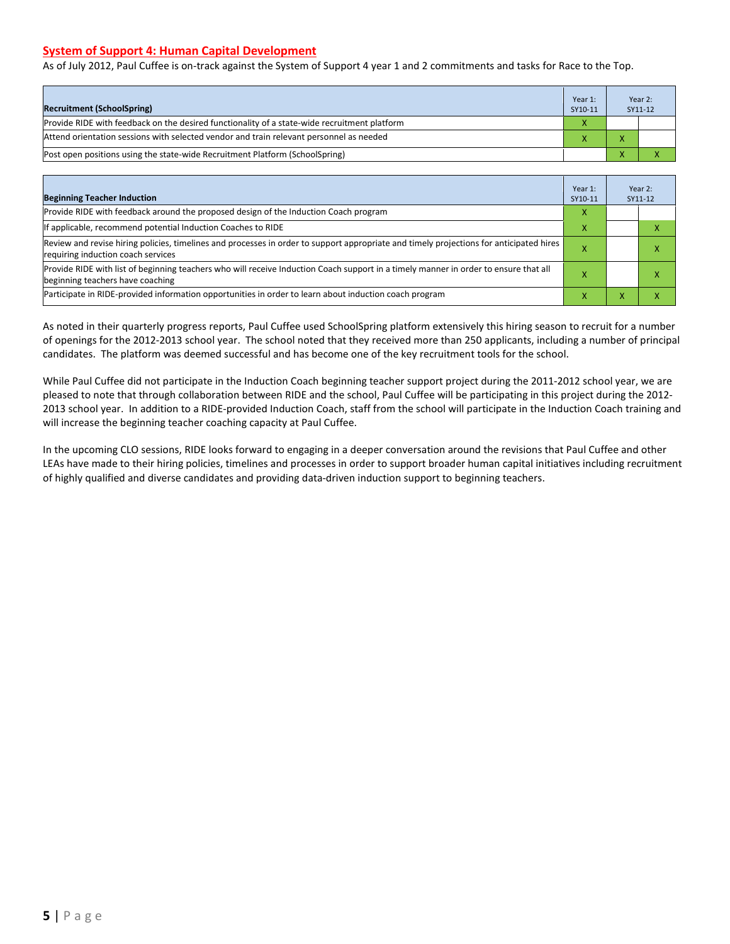#### **System of Support 4: Human Capital Development**

As of July 2012, Paul Cuffee is on-track against the System of Support 4 year 1 and 2 commitments and tasks for Race to the Top.

| <b>Recruitment (SchoolSpring)</b>                                                            | Year 1:<br>SY10-11 |  | Year 2:<br>SY11-12 |
|----------------------------------------------------------------------------------------------|--------------------|--|--------------------|
| Provide RIDE with feedback on the desired functionality of a state-wide recruitment platform | X                  |  |                    |
| Attend orientation sessions with selected vendor and train relevant personnel as needed      |                    |  |                    |
| Post open positions using the state-wide Recruitment Platform (SchoolSpring)                 |                    |  |                    |

| <b>Beginning Teacher Induction</b>                                                                                                                                            | Year 1:<br>SY10-11 |        | Year 2:<br>SY11-12 |
|-------------------------------------------------------------------------------------------------------------------------------------------------------------------------------|--------------------|--------|--------------------|
| Provide RIDE with feedback around the proposed design of the Induction Coach program                                                                                          | x                  |        |                    |
| If applicable, recommend potential Induction Coaches to RIDE                                                                                                                  | x                  |        |                    |
| Review and revise hiring policies, timelines and processes in order to support appropriate and timely projections for anticipated hires<br>requiring induction coach services | л                  |        | χ                  |
| Provide RIDE with list of beginning teachers who will receive Induction Coach support in a timely manner in order to ensure that all<br>beginning teachers have coaching      |                    |        |                    |
| Participate in RIDE-provided information opportunities in order to learn about induction coach program                                                                        | $\mathbf x$        | $\sim$ | л                  |

As noted in their quarterly progress reports, Paul Cuffee used SchoolSpring platform extensively this hiring season to recruit for a number of openings for the 2012-2013 school year. The school noted that they received more than 250 applicants, including a number of principal candidates. The platform was deemed successful and has become one of the key recruitment tools for the school.

While Paul Cuffee did not participate in the Induction Coach beginning teacher support project during the 2011-2012 school year, we are pleased to note that through collaboration between RIDE and the school, Paul Cuffee will be participating in this project during the 2012- 2013 school year. In addition to a RIDE-provided Induction Coach, staff from the school will participate in the Induction Coach training and will increase the beginning teacher coaching capacity at Paul Cuffee.

In the upcoming CLO sessions, RIDE looks forward to engaging in a deeper conversation around the revisions that Paul Cuffee and other LEAs have made to their hiring policies, timelines and processes in order to support broader human capital initiatives including recruitment of highly qualified and diverse candidates and providing data-driven induction support to beginning teachers.